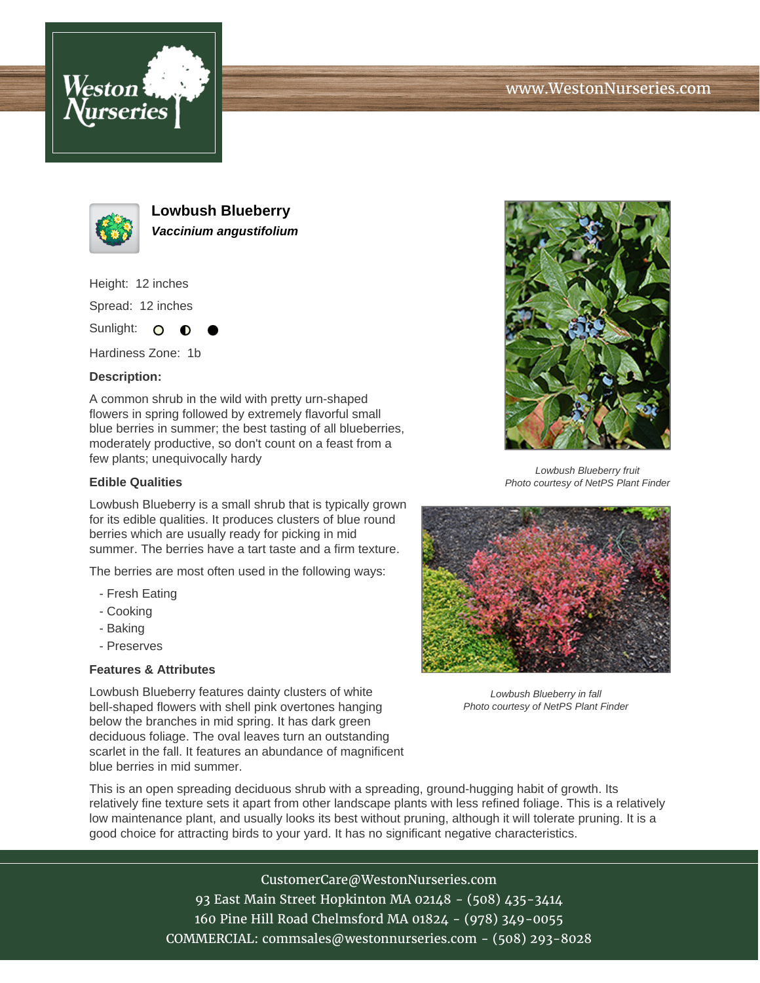





**Lowbush Blueberry Vaccinium angustifolium**

Height: 12 inches Spread: 12 inches

Sunlight: O  $\bullet$ 

Hardiness Zone: 1b

## **Description:**

A common shrub in the wild with pretty urn-shaped flowers in spring followed by extremely flavorful small blue berries in summer; the best tasting of all blueberries, moderately productive, so don't count on a feast from a few plants; unequivocally hardy

## **Edible Qualities**

Lowbush Blueberry is a small shrub that is typically grown for its edible qualities. It produces clusters of blue round berries which are usually ready for picking in mid summer. The berries have a tart taste and a firm texture.

The berries are most often used in the following ways:

- Fresh Eating
- Cooking
- Baking
- Preserves

## **Features & Attributes**

Lowbush Blueberry features dainty clusters of white bell-shaped flowers with shell pink overtones hanging below the branches in mid spring. It has dark green deciduous foliage. The oval leaves turn an outstanding scarlet in the fall. It features an abundance of magnificent blue berries in mid summer.



Lowbush Blueberry fruit Photo courtesy of NetPS Plant Finder



Lowbush Blueberry in fall Photo courtesy of NetPS Plant Finder

This is an open spreading deciduous shrub with a spreading, ground-hugging habit of growth. Its relatively fine texture sets it apart from other landscape plants with less refined foliage. This is a relatively low maintenance plant, and usually looks its best without pruning, although it will tolerate pruning. It is a good choice for attracting birds to your yard. It has no significant negative characteristics.

> CustomerCare@WestonNurseries.com 93 East Main Street Hopkinton MA 02148 - (508) 435-3414 160 Pine Hill Road Chelmsford MA 01824 - (978) 349-0055 COMMERCIAL: commsales@westonnurseries.com - (508) 293-8028